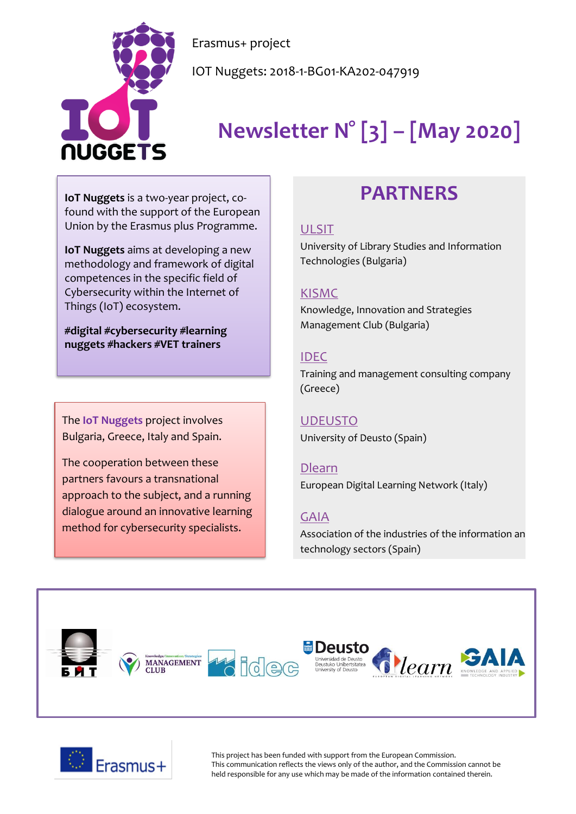

Erasmus+ project

IOT Nuggets: 2018-1-BG01-KA202-047919

# **Newsletter N° [3] – [May 2020]**

**IoT Nuggets** is a two-year project, cofound with the support of the European Union by the Erasmus plus Programme.

**IoT Nuggets** aims at developing a new methodology and framework of digital competences in the specific field of Cybersecurity within the Internet of Things (IoT) ecosystem.

**#digital #cybersecurity #learning nuggets #hackers #VET trainers**

The **IoT Nuggets** project involves Bulgaria, Greece, Italy and Spain.

The cooperation between these partners favours a transnational approach to the subject, and a running dialogue around an innovative learning method for cybersecurity specialists.

# **PARTNERS**

#### [ULSIT](https://www.unibit.bg/en)

University of Library Studies and Information Technologies (Bulgaria)

#### [KISMC](http://www.innovation-mc.com/)

Knowledge, Innovation and Strategies Management Club (Bulgaria)

#### [IDEC](https://www.idec.gr/)

Training and management consulting company (Greece)

### [UDEUSTO](https://www.deusto.es/cs/Satellite/deusto/en/university-deusto)

University of Deusto (Spain)

#### [Dlearn](http://dlearn.eu/)

European Digital Learning Network (Italy)

#### [GAIA](http://www.gaia.es/)

Association of the industries of the information an technology sectors (Spain)





This project has been funded with support from the European Commission. This communication reflects the views only of the author, and the Commission cannot be held responsible for any use which may be made of the information contained therein.